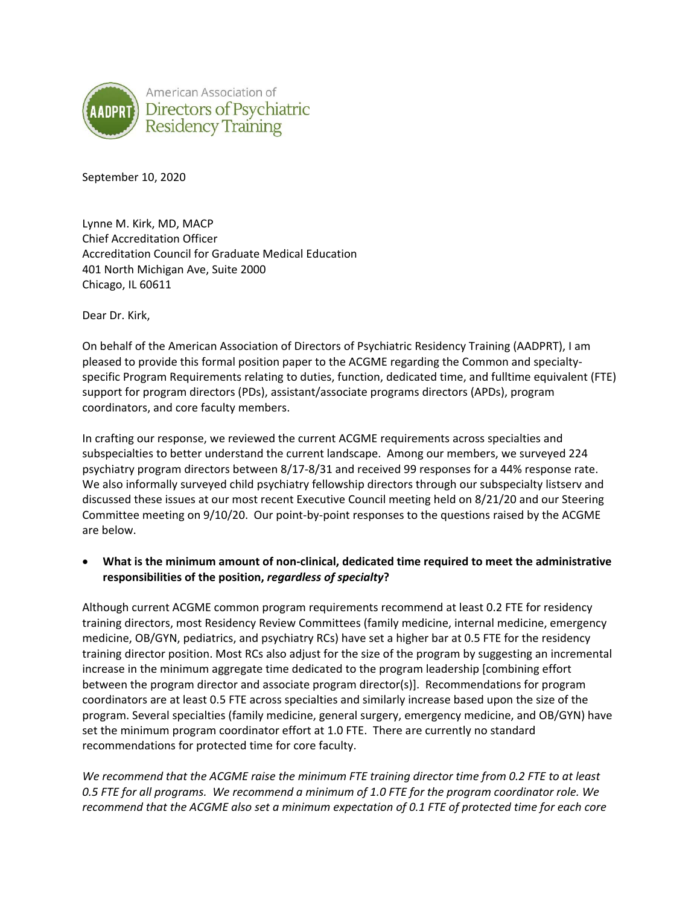

September 10, 2020

Lynne M. Kirk, MD, MACP Chief Accreditation Officer Accreditation Council for Graduate Medical Education 401 North Michigan Ave, Suite 2000 Chicago, IL 60611

Dear Dr. Kirk,

On behalf of the American Association of Directors of Psychiatric Residency Training (AADPRT), I am pleased to provide this formal position paper to the ACGME regarding the Common and specialty‐ specific Program Requirements relating to duties, function, dedicated time, and fulltime equivalent (FTE) support for program directors (PDs), assistant/associate programs directors (APDs), program coordinators, and core faculty members.

In crafting our response, we reviewed the current ACGME requirements across specialties and subspecialties to better understand the current landscape. Among our members, we surveyed 224 psychiatry program directors between 8/17‐8/31 and received 99 responses for a 44% response rate. We also informally surveyed child psychiatry fellowship directors through our subspecialty listserv and discussed these issues at our most recent Executive Council meeting held on 8/21/20 and our Steering Committee meeting on 9/10/20. Our point‐by‐point responses to the questions raised by the ACGME are below.

 **What is the minimum amount of non‐clinical, dedicated time required to meet the administrative responsibilities of the position,** *regardless of specialty***?** 

Although current ACGME common program requirements recommend at least 0.2 FTE for residency training directors, most Residency Review Committees (family medicine, internal medicine, emergency medicine, OB/GYN, pediatrics, and psychiatry RCs) have set a higher bar at 0.5 FTE for the residency training director position. Most RCs also adjust for the size of the program by suggesting an incremental increase in the minimum aggregate time dedicated to the program leadership [combining effort between the program director and associate program director(s)]. Recommendations for program coordinators are at least 0.5 FTE across specialties and similarly increase based upon the size of the program. Several specialties (family medicine, general surgery, emergency medicine, and OB/GYN) have set the minimum program coordinator effort at 1.0 FTE. There are currently no standard recommendations for protected time for core faculty.

*We recommend that the ACGME raise the minimum FTE training director time from 0.2 FTE to at least 0.5 FTE for all programs. We recommend a minimum of 1.0 FTE for the program coordinator role. We recommend that the ACGME also set a minimum expectation of 0.1 FTE of protected time for each core*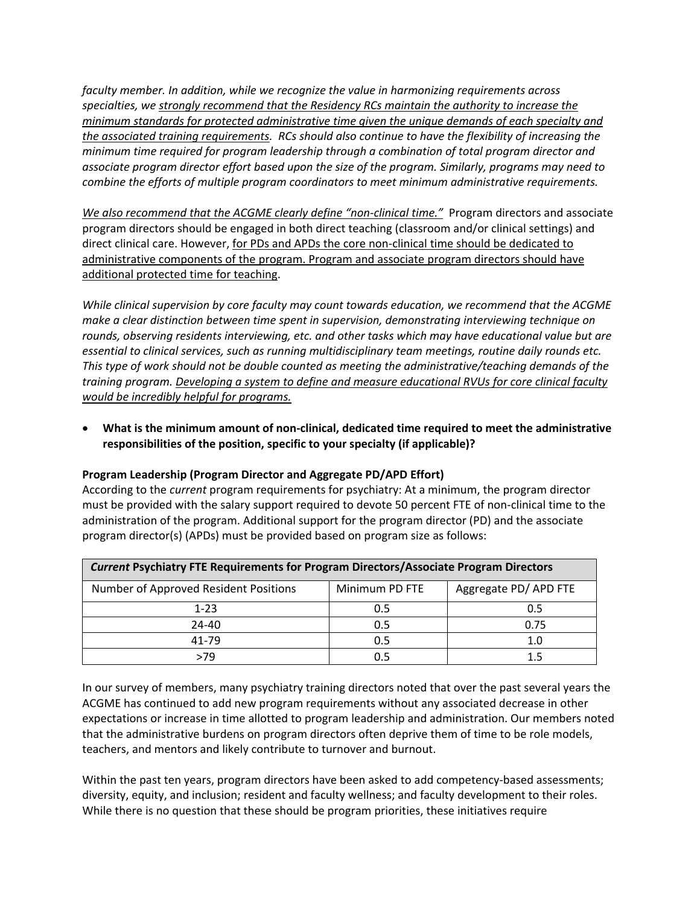*faculty member. In addition, while we recognize the value in harmonizing requirements across specialties, we strongly recommend that the Residency RCs maintain the authority to increase the minimum standards for protected administrative time given the unique demands of each specialty and the associated training requirements. RCs should also continue to have the flexibility of increasing the minimum time required for program leadership through a combination of total program director and associate program director effort based upon the size of the program. Similarly, programs may need to combine the efforts of multiple program coordinators to meet minimum administrative requirements.* 

We also recommend that the ACGME clearly define "non-clinical time." Program directors and associate program directors should be engaged in both direct teaching (classroom and/or clinical settings) and direct clinical care. However, for PDs and APDs the core non-clinical time should be dedicated to administrative components of the program. Program and associate program directors should have additional protected time for teaching.

*While clinical supervision by core faculty may count towards education, we recommend that the ACGME make a clear distinction between time spent in supervision, demonstrating interviewing technique on rounds, observing residents interviewing, etc. and other tasks which may have educational value but are essential to clinical services, such as running multidisciplinary team meetings, routine daily rounds etc. This type of work should not be double counted as meeting the administrative/teaching demands of the training program. Developing a system to define and measure educational RVUs for core clinical faculty would be incredibly helpful for programs.* 

 **What is the minimum amount of non‐clinical, dedicated time required to meet the administrative responsibilities of the position, specific to your specialty (if applicable)?** 

# **Program Leadership (Program Director and Aggregate PD/APD Effort)**

According to the *current* program requirements for psychiatry: At a minimum, the program director must be provided with the salary support required to devote 50 percent FTE of non‐clinical time to the administration of the program. Additional support for the program director (PD) and the associate program director(s) (APDs) must be provided based on program size as follows:

| <b>Current Psychiatry FTE Requirements for Program Directors/Associate Program Directors</b> |                |                       |  |  |
|----------------------------------------------------------------------------------------------|----------------|-----------------------|--|--|
| Number of Approved Resident Positions                                                        | Minimum PD FTE | Aggregate PD/ APD FTE |  |  |
| $1-23$                                                                                       | 0.5            | 0.5                   |  |  |
| 24-40                                                                                        | 0.5            | 0.75                  |  |  |
| 41-79                                                                                        | 0.5            | 1.0                   |  |  |
| >79                                                                                          | 0.5            |                       |  |  |

In our survey of members, many psychiatry training directors noted that over the past several years the ACGME has continued to add new program requirements without any associated decrease in other expectations or increase in time allotted to program leadership and administration. Our members noted that the administrative burdens on program directors often deprive them of time to be role models, teachers, and mentors and likely contribute to turnover and burnout.

Within the past ten years, program directors have been asked to add competency-based assessments; diversity, equity, and inclusion; resident and faculty wellness; and faculty development to their roles. While there is no question that these should be program priorities, these initiatives require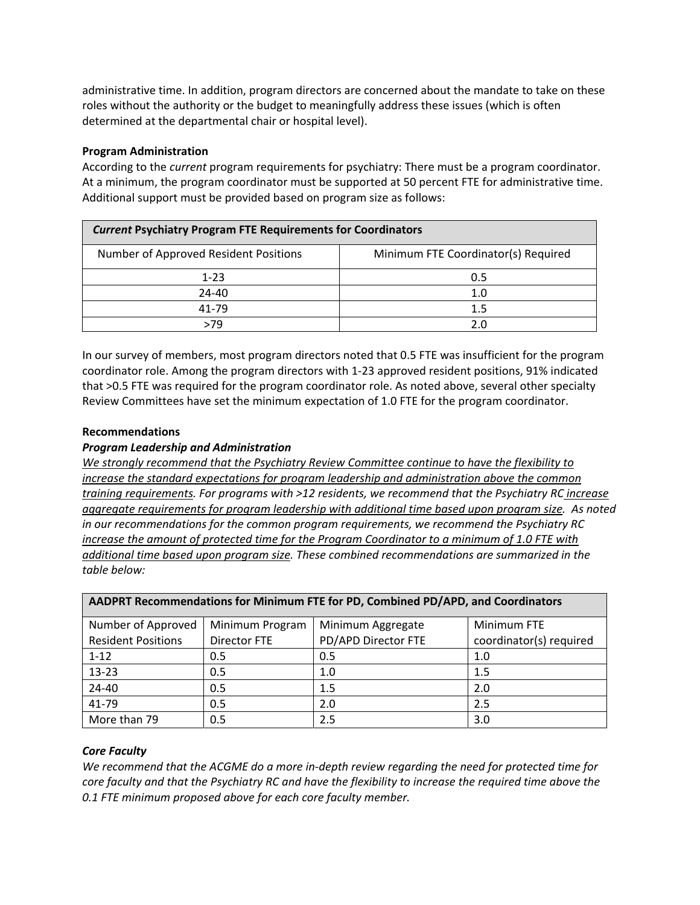administrative time. In addition, program directors are concerned about the mandate to take on these roles without the authority or the budget to meaningfully address these issues (which is often determined at the departmental chair or hospital level).

### **Program Administration**

According to the *current* program requirements for psychiatry: There must be a program coordinator. At a minimum, the program coordinator must be supported at 50 percent FTE for administrative time. Additional support must be provided based on program size as follows:

| <b>Current Psychiatry Program FTE Requirements for Coordinators</b> |                                     |  |  |
|---------------------------------------------------------------------|-------------------------------------|--|--|
| Number of Approved Resident Positions                               | Minimum FTE Coordinator(s) Required |  |  |
| $1-23$                                                              | 0.5                                 |  |  |
| $24 - 40$                                                           | 1.0                                 |  |  |
| 41-79                                                               | 1.5                                 |  |  |
| >79                                                                 |                                     |  |  |

In our survey of members, most program directors noted that 0.5 FTE was insufficient for the program coordinator role. Among the program directors with 1‐23 approved resident positions, 91% indicated that >0.5 FTE was required for the program coordinator role. As noted above, several other specialty Review Committees have set the minimum expectation of 1.0 FTE for the program coordinator.

#### **Recommendations**

#### *Program Leadership and Administration*

*We strongly recommend that the Psychiatry Review Committee continue to have the flexibility to increase the standard expectations for program leadership and administration above the common training requirements. For programs with >12 residents, we recommend that the Psychiatry RC increase aggregate requirements for program leadership with additional time based upon program size. As noted in our recommendations for the common program requirements, we recommend the Psychiatry RC increase the amount of protected time for the Program Coordinator to a minimum of 1.0 FTE with additional time based upon program size. These combined recommendations are summarized in the table below:* 

| AADPRT Recommendations for Minimum FTE for PD, Combined PD/APD, and Coordinators |                 |                     |                         |  |
|----------------------------------------------------------------------------------|-----------------|---------------------|-------------------------|--|
| Number of Approved                                                               | Minimum Program | Minimum Aggregate   | Minimum FTE             |  |
| <b>Resident Positions</b>                                                        | Director FTE    | PD/APD Director FTE | coordinator(s) required |  |
| $1 - 12$                                                                         | 0.5             | 0.5                 | 1.0                     |  |
| $13 - 23$                                                                        | 0.5             | 1.0                 | 1.5                     |  |
| $24 - 40$                                                                        | 0.5             | 1.5                 | 2.0                     |  |
| 41-79                                                                            | 0.5             | 2.0                 | 2.5                     |  |
| More than 79                                                                     | 0.5             | 2.5                 | 3.0                     |  |

### *Core Faculty*

*We recommend that the ACGME do a more in‐depth review regarding the need for protected time for core faculty and that the Psychiatry RC and have the flexibility to increase the required time above the 0.1 FTE minimum proposed above for each core faculty member.*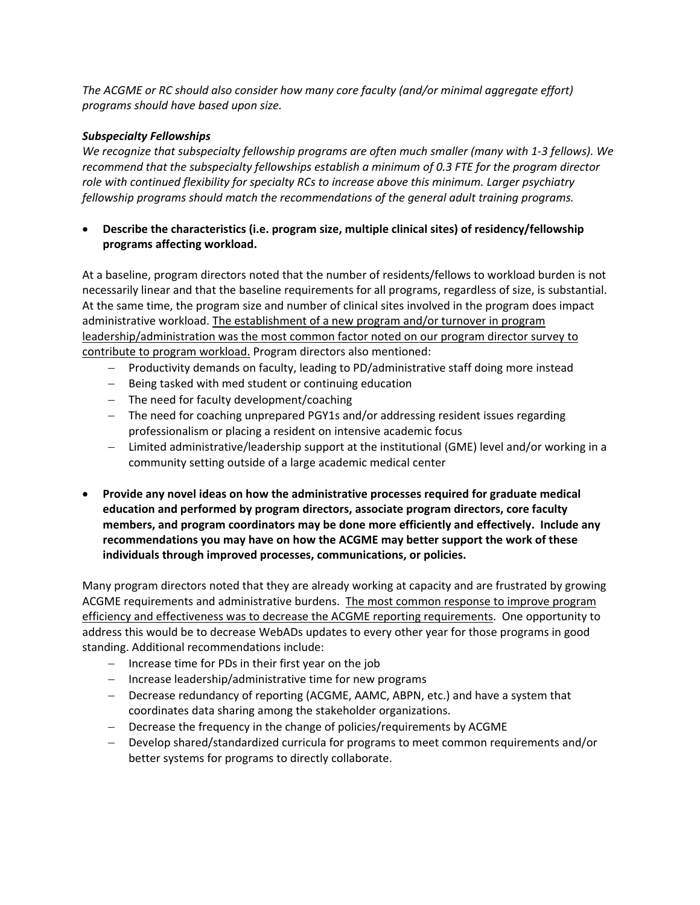*The ACGME or RC should also consider how many core faculty (and/or minimal aggregate effort) programs should have based upon size.* 

## *Subspecialty Fellowships*

*We recognize that subspecialty fellowship programs are often much smaller (many with 1‐3 fellows). We recommend that the subspecialty fellowships establish a minimum of 0.3 FTE for the program director role with continued flexibility for specialty RCs to increase above this minimum. Larger psychiatry fellowship programs should match the recommendations of the general adult training programs.* 

 **Describe the characteristics (i.e. program size, multiple clinical sites) of residency/fellowship programs affecting workload.** 

At a baseline, program directors noted that the number of residents/fellows to workload burden is not necessarily linear and that the baseline requirements for all programs, regardless of size, is substantial. At the same time, the program size and number of clinical sites involved in the program does impact administrative workload. The establishment of a new program and/or turnover in program leadership/administration was the most common factor noted on our program director survey to contribute to program workload. Program directors also mentioned:

- Productivity demands on faculty, leading to PD/administrative staff doing more instead
- Being tasked with med student or continuing education
- $-$  The need for faculty development/coaching
- The need for coaching unprepared PGY1s and/or addressing resident issues regarding professionalism or placing a resident on intensive academic focus
- Limited administrative/leadership support at the institutional (GME) level and/or working in a community setting outside of a large academic medical center
- **Provide any novel ideas on how the administrative processes required for graduate medical education and performed by program directors, associate program directors, core faculty members, and program coordinators may be done more efficiently and effectively. Include any recommendations you may have on how the ACGME may better support the work of these individuals through improved processes, communications, or policies.**

Many program directors noted that they are already working at capacity and are frustrated by growing ACGME requirements and administrative burdens. The most common response to improve program efficiency and effectiveness was to decrease the ACGME reporting requirements. One opportunity to address this would be to decrease WebADs updates to every other year for those programs in good standing. Additional recommendations include:

- $-$  Increase time for PDs in their first year on the job
- Increase leadership/administrative time for new programs
- Decrease redundancy of reporting (ACGME, AAMC, ABPN, etc.) and have a system that coordinates data sharing among the stakeholder organizations.
- Decrease the frequency in the change of policies/requirements by ACGME
- Develop shared/standardized curricula for programs to meet common requirements and/or better systems for programs to directly collaborate.